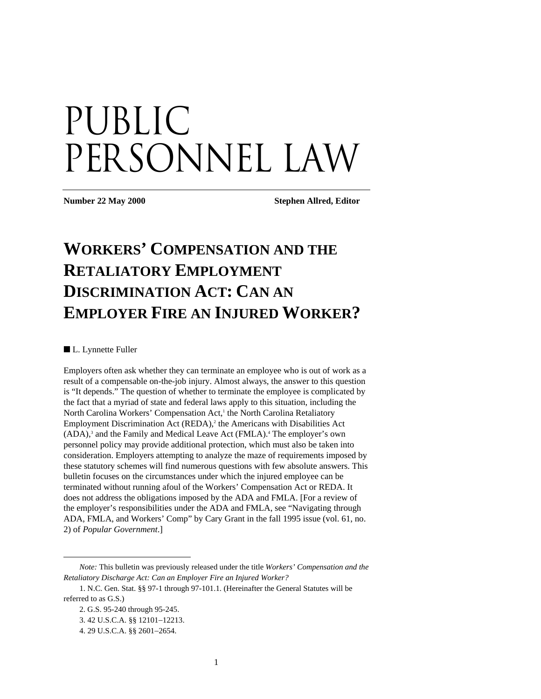# Public PERSONNEL LAW

**Number 22 May 2000 Stephen Allred, Editor** 

# **WORKERS' COMPENSATION AND THE RETALIATORY EMPLOYMENT DISCRIMINATION ACT: CAN AN EMPLOYER FIRE AN INJURED WORKER?**

■ L. Lynnette Fuller

Employers often ask whether they can terminate an employee who is out of work as a result of a compensable on-the-job injury. Almost always, the answer to this question is "It depends." The question of whether to terminate the employee is complicated by the fact that a myriad of state and federal laws apply to this situation, including the North Carolina Workers' Compensation Act,<sup>1</sup> the North Carolina Retaliatory Employment Discrimination Act (REDA),<sup>2</sup> the Americans with Disabilities Act (ADA),<sup>3</sup> and the Family and Medical Leave Act (FMLA).<sup>4</sup> The employer's own personnel policy may provide additional protection, which must also be taken into consideration. Employers attempting to analyze the maze of requirements imposed by these statutory schemes will find numerous questions with few absolute answers. This bulletin focuses on the circumstances under which the injured employee can be terminated without running afoul of the Workers' Compensation Act or REDA. It does not address the obligations imposed by the ADA and FMLA. [For a review of the employer's responsibilities under the ADA and FMLA, see "Navigating through ADA, FMLA, and Workers' Comp" by Cary Grant in the fall 1995 issue (vol. 61, no. 2) of *Popular Government*.]

*Note:* This bulletin was previously released under the title *Workers' Compensation and the Retaliatory Discharge Act: Can an Employer Fire an Injured Worker?* 

<sup>1.</sup> N.C. Gen. Stat. §§ 97-1 through 97-101.1. (Hereinafter the General Statutes will be referred to as G.S.)

<sup>2.</sup> G.S. 95-240 through 95-245.

<sup>3. 42</sup> U.S.C.A. §§ 12101−12213.

<sup>4. 29</sup> U.S.C.A. §§ 2601−2654.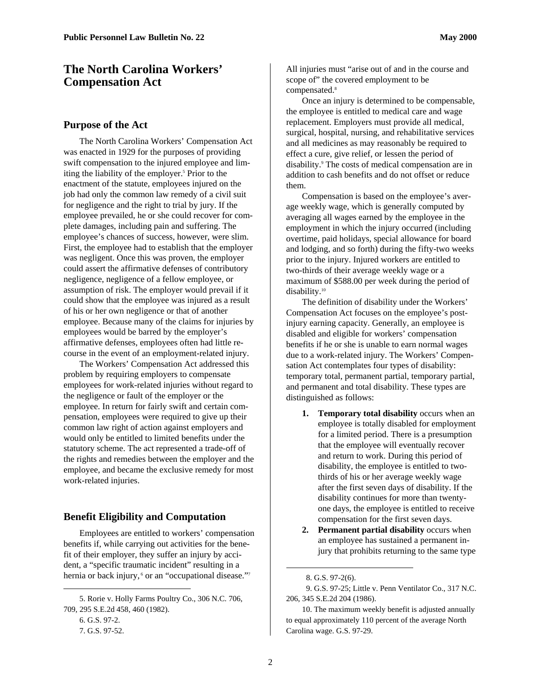# **The North Carolina Workers' Compensation Act**

#### **Purpose of the Act**

The North Carolina Workers' Compensation Act was enacted in 1929 for the purposes of providing swift compensation to the injured employee and limiting the liability of the employer.<sup>5</sup> Prior to the enactment of the statute, employees injured on the job had only the common law remedy of a civil suit for negligence and the right to trial by jury. If the employee prevailed, he or she could recover for complete damages, including pain and suffering. The employee's chances of success, however, were slim. First, the employee had to establish that the employer was negligent. Once this was proven, the employer could assert the affirmative defenses of contributory negligence, negligence of a fellow employee, or assumption of risk. The employer would prevail if it could show that the employee was injured as a result of his or her own negligence or that of another employee. Because many of the claims for injuries by employees would be barred by the employer's affirmative defenses, employees often had little recourse in the event of an employment-related injury.

The Workers' Compensation Act addressed this problem by requiring employers to compensate employees for work-related injuries without regard to the negligence or fault of the employer or the employee. In return for fairly swift and certain compensation, employees were required to give up their common law right of action against employers and would only be entitled to limited benefits under the statutory scheme. The act represented a trade-off of the rights and remedies between the employer and the employee, and became the exclusive remedy for most work-related injuries.

#### **Benefit Eligibility and Computation**

Employees are entitled to workers' compensation benefits if, while carrying out activities for the benefit of their employer, they suffer an injury by accident, a "specific traumatic incident" resulting in a hernia or back injury,<sup>6</sup> or an "occupational disease."<sup>7</sup>

5. Rorie v. Holly Farms Poultry Co., 306 N.C. 706, 709, 295 S.E.2d 458, 460 (1982). 6. G.S. 97-2. 7. G.S. 97-52.

1

All injuries must "arise out of and in the course and scope of" the covered employment to be compensated.<sup>8</sup>

Once an injury is determined to be compensable, the employee is entitled to medical care and wage replacement. Employers must provide all medical, surgical, hospital, nursing, and rehabilitative services and all medicines as may reasonably be required to effect a cure, give relief, or lessen the period of disability.<sup>9</sup> The costs of medical compensation are in addition to cash benefits and do not offset or reduce them.

Compensation is based on the employee's average weekly wage, which is generally computed by averaging all wages earned by the employee in the employment in which the injury occurred (including overtime, paid holidays, special allowance for board and lodging, and so forth) during the fifty-two weeks prior to the injury. Injured workers are entitled to two-thirds of their average weekly wage or a maximum of \$588.00 per week during the period of disability.<sup>10</sup>

The definition of disability under the Workers' Compensation Act focuses on the employee's postinjury earning capacity. Generally, an employee is disabled and eligible for workers' compensation benefits if he or she is unable to earn normal wages due to a work-related injury. The Workers' Compensation Act contemplates four types of disability: temporary total, permanent partial, temporary partial, and permanent and total disability. These types are distinguished as follows:

- **1. Temporary total disability** occurs when an employee is totally disabled for employment for a limited period. There is a presumption that the employee will eventually recover and return to work. During this period of disability, the employee is entitled to twothirds of his or her average weekly wage after the first seven days of disability. If the disability continues for more than twentyone days, the employee is entitled to receive compensation for the first seven days.
- **2. Permanent partial disability** occurs when an employee has sustained a permanent injury that prohibits returning to the same type

 9. G.S. 97-25; Little v. Penn Ventilator Co., 317 N.C. 206, 345 S.E.2d 204 (1986).

10. The maximum weekly benefit is adjusted annually to equal approximately 110 percent of the average North Carolina wage. G.S. 97-29.

 <sup>8.</sup> G.S. 97-2(6).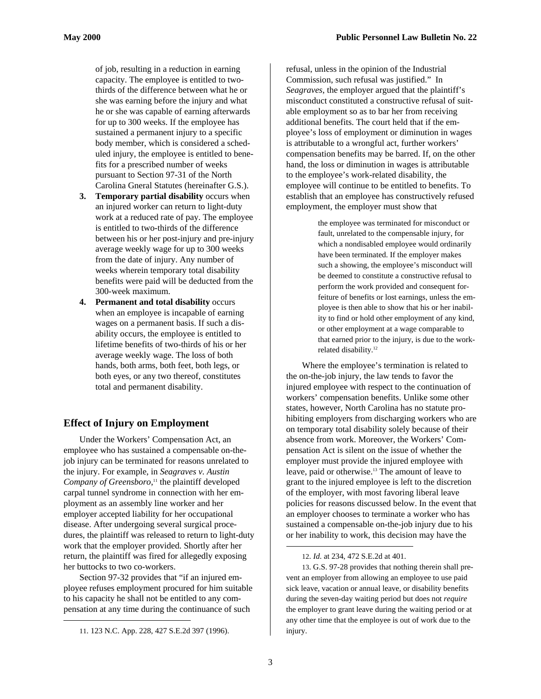of job, resulting in a reduction in earning capacity. The employee is entitled to twothirds of the difference between what he or she was earning before the injury and what he or she was capable of earning afterwards for up to 300 weeks. If the employee has sustained a permanent injury to a specific body member, which is considered a scheduled injury, the employee is entitled to benefits for a prescribed number of weeks pursuant to Section 97-31 of the North Carolina Gneral Statutes (hereinafter G.S.).

- **3. Temporary partial disability** occurs when an injured worker can return to light-duty work at a reduced rate of pay. The employee is entitled to two-thirds of the difference between his or her post-injury and pre-injury average weekly wage for up to 300 weeks from the date of injury. Any number of weeks wherein temporary total disability benefits were paid will be deducted from the 300-week maximum.
- **4. Permanent and total disability** occurs when an employee is incapable of earning wages on a permanent basis. If such a disability occurs, the employee is entitled to lifetime benefits of two-thirds of his or her average weekly wage. The loss of both hands, both arms, both feet, both legs, or both eyes, or any two thereof, constitutes total and permanent disability.

# **Effect of Injury on Employment**

Under the Workers' Compensation Act, an employee who has sustained a compensable on-thejob injury can be terminated for reasons unrelated to the injury. For example, in *Seagraves v. Austin Company of Greensboro*, 11 the plaintiff developed carpal tunnel syndrome in connection with her employment as an assembly line worker and her employer accepted liability for her occupational disease. After undergoing several surgical procedures, the plaintiff was released to return to light-duty work that the employer provided. Shortly after her return, the plaintiff was fired for allegedly exposing her buttocks to two co-workers.

Section 97-32 provides that "if an injured employee refuses employment procured for him suitable to his capacity he shall not be entitled to any compensation at any time during the continuance of such

1

refusal, unless in the opinion of the Industrial Commission, such refusal was justified." In *Seagraves*, the employer argued that the plaintiff's misconduct constituted a constructive refusal of suitable employment so as to bar her from receiving additional benefits. The court held that if the employee's loss of employment or diminution in wages is attributable to a wrongful act, further workers' compensation benefits may be barred. If, on the other hand, the loss or diminution in wages is attributable to the employee's work-related disability, the employee will continue to be entitled to benefits. To establish that an employee has constructively refused employment, the employer must show that

> the employee was terminated for misconduct or fault, unrelated to the compensable injury, for which a nondisabled employee would ordinarily have been terminated. If the employer makes such a showing, the employee's misconduct will be deemed to constitute a constructive refusal to perform the work provided and consequent forfeiture of benefits or lost earnings, unless the employee is then able to show that his or her inability to find or hold other employment of any kind, or other employment at a wage comparable to that earned prior to the injury, is due to the workrelated disability.12

Where the employee's termination is related to the on-the-job injury, the law tends to favor the injured employee with respect to the continuation of workers' compensation benefits. Unlike some other states, however, North Carolina has no statute prohibiting employers from discharging workers who are on temporary total disability solely because of their absence from work. Moreover, the Workers' Compensation Act is silent on the issue of whether the employer must provide the injured employee with leave, paid or otherwise.<sup>13</sup> The amount of leave to grant to the injured employee is left to the discretion of the employer, with most favoring liberal leave policies for reasons discussed below. In the event that an employer chooses to terminate a worker who has sustained a compensable on-the-job injury due to his or her inability to work, this decision may have the

13. G.S. 97-28 provides that nothing therein shall prevent an employer from allowing an employee to use paid sick leave, vacation or annual leave, or disability benefits during the seven-day waiting period but does not *require* the employer to grant leave during the waiting period or at any other time that the employee is out of work due to the injury.

<sup>11. 123</sup> N.C. App. 228, 427 S.E.2d 397 (1996).

<sup>12.</sup> *Id*. at 234, 472 S.E.2d at 401.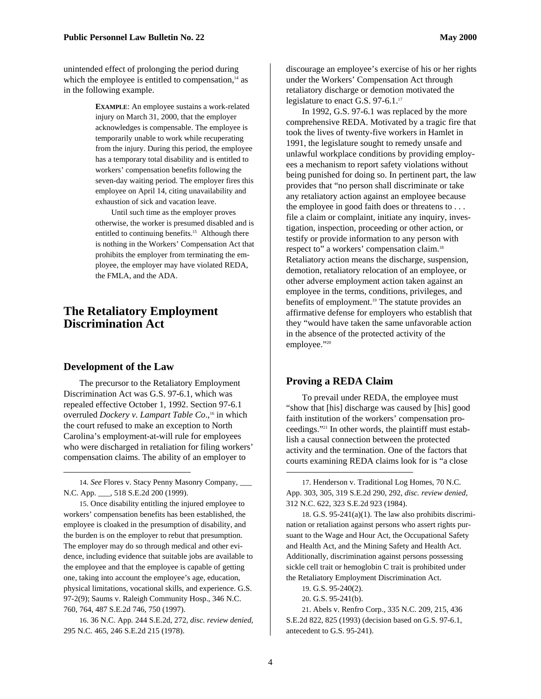unintended effect of prolonging the period during which the employee is entitled to compensation, $14$  as in the following example.

> **EXAMPLE**: An employee sustains a work-related injury on March 31, 2000, that the employer acknowledges is compensable. The employee is temporarily unable to work while recuperating from the injury. During this period, the employee has a temporary total disability and is entitled to workers' compensation benefits following the seven-day waiting period. The employer fires this employee on April 14, citing unavailability and exhaustion of sick and vacation leave.

> Until such time as the employer proves otherwise, the worker is presumed disabled and is entitled to continuing benefits.<sup>15</sup> Although there is nothing in the Workers' Compensation Act that prohibits the employer from terminating the employee, the employer may have violated REDA, the FMLA, and the ADA.

# **The Retaliatory Employment Discrimination Act**

#### **Development of the Law**

1

The precursor to the Retaliatory Employment Discrimination Act was G.S. 97-6.1, which was repealed effective October 1, 1992. Section 97-6.1 overruled *Dockery v. Lampart Table Co.*,<sup>16</sup> in which the court refused to make an exception to North Carolina's employment-at-will rule for employees who were discharged in retaliation for filing workers' compensation claims. The ability of an employer to

15. Once disability entitling the injured employee to workers' compensation benefits has been established, the employee is cloaked in the presumption of disability, and the burden is on the employer to rebut that presumption. The employer may do so through medical and other evidence, including evidence that suitable jobs are available to the employee and that the employee is capable of getting one, taking into account the employee's age, education, physical limitations, vocational skills, and experience. G.S. 97-2(9); Saums v. Raleigh Community Hosp., 346 N.C. 760, 764, 487 S.E.2d 746, 750 (1997).

16. 36 N.C. App. 244 S.E.2d, 272, *disc. review denied*, 295 N.C. 465, 246 S.E.2d 215 (1978).

discourage an employee's exercise of his or her rights under the Workers' Compensation Act through retaliatory discharge or demotion motivated the legislature to enact G.S. 97-6.1.<sup>17</sup>

In 1992, G.S. 97-6.1 was replaced by the more comprehensive REDA. Motivated by a tragic fire that took the lives of twenty-five workers in Hamlet in 1991, the legislature sought to remedy unsafe and unlawful workplace conditions by providing employees a mechanism to report safety violations without being punished for doing so. In pertinent part, the law provides that "no person shall discriminate or take any retaliatory action against an employee because the employee in good faith does or threatens to . . . file a claim or complaint, initiate any inquiry, investigation, inspection, proceeding or other action, or testify or provide information to any person with respect to" a workers' compensation claim.<sup>18</sup> Retaliatory action means the discharge, suspension, demotion, retaliatory relocation of an employee, or other adverse employment action taken against an employee in the terms, conditions, privileges, and benefits of employment.<sup>19</sup> The statute provides an affirmative defense for employers who establish that they "would have taken the same unfavorable action in the absence of the protected activity of the employee."20

### **Proving a REDA Claim**

To prevail under REDA, the employee must "show that [his] discharge was caused by [his] good faith institution of the workers' compensation proceedings."21 In other words, the plaintiff must establish a causal connection between the protected activity and the termination. One of the factors that courts examining REDA claims look for is "a close

18. G.S.  $95-241(a)(1)$ . The law also prohibits discrimination or retaliation against persons who assert rights pursuant to the Wage and Hour Act, the Occupational Safety and Health Act, and the Mining Safety and Health Act. Additionally, discrimination against persons possessing sickle cell trait or hemoglobin C trait is prohibited under the Retaliatory Employment Discrimination Act.

19. G.S. 95-240(2).

21. Abels v. Renfro Corp., 335 N.C. 209, 215, 436 S.E.2d 822, 825 (1993) (decision based on G.S. 97-6.1, antecedent to G.S. 95-241).

<sup>14.</sup> *See* Flores v. Stacy Penny Masonry Company, \_\_\_ N.C. App. \_\_\_, 518 S.E.2d 200 (1999).

<sup>17.</sup> Henderson v. Traditional Log Homes, 70 N.C. App. 303, 305, 319 S.E.2d 290, 292, *disc. review denied*, 312 N.C. 622, 323 S.E.2d 923 (1984).

<sup>20.</sup> G.S. 95-241(b).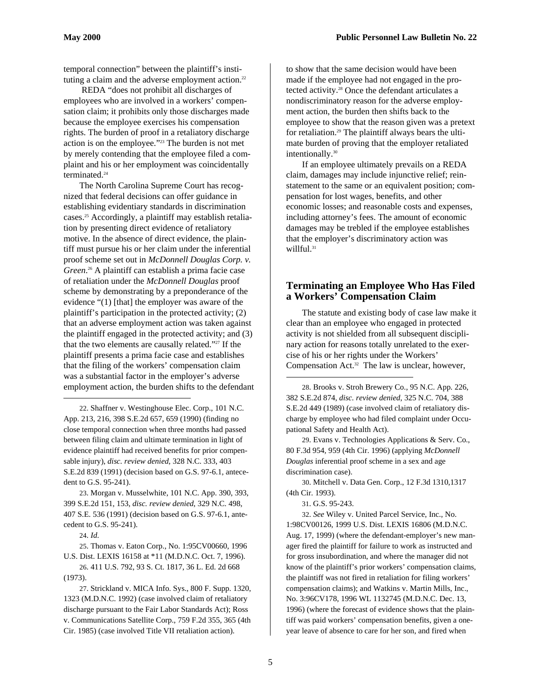temporal connection" between the plaintiff's instituting a claim and the adverse employment action. $22$ 

 REDA "does not prohibit all discharges of employees who are involved in a workers' compensation claim; it prohibits only those discharges made because the employee exercises his compensation rights. The burden of proof in a retaliatory discharge action is on the employee."23 The burden is not met by merely contending that the employee filed a complaint and his or her employment was coincidentally terminated.<sup>24</sup>

The North Carolina Supreme Court has recognized that federal decisions can offer guidance in establishing evidentiary standards in discrimination cases.<sup>25</sup> Accordingly, a plaintiff may establish retaliation by presenting direct evidence of retaliatory motive. In the absence of direct evidence, the plaintiff must pursue his or her claim under the inferential proof scheme set out in *McDonnell Douglas Corp. v. Green*. 26 A plaintiff can establish a prima facie case of retaliation under the *McDonnell Douglas* proof scheme by demonstrating by a preponderance of the evidence "(1) [that] the employer was aware of the plaintiff's participation in the protected activity; (2) that an adverse employment action was taken against the plaintiff engaged in the protected activity; and (3) that the two elements are causally related."<sup>27</sup> If the plaintiff presents a prima facie case and establishes that the filing of the workers' compensation claim was a substantial factor in the employer's adverse employment action, the burden shifts to the defendant

22. Shaffner v. Westinghouse Elec. Corp., 101 N.C. App. 213, 216, 398 S.E.2d 657, 659 (1990) (finding no close temporal connection when three months had passed between filing claim and ultimate termination in light of evidence plaintiff had received benefits for prior compensable injury), *disc. review denied*, 328 N.C. 333, 403 S.E.2d 839 (1991) (decision based on G.S. 97-6.1, antecedent to G.S. 95-241).

23. Morgan v. Musselwhite, 101 N.C. App. 390, 393, 399 S.E.2d 151, 153, *disc. review denied*, 329 N.C. 498, 407 S.E. 536 (1991) (decision based on G.S. 97-6.1, antecedent to G.S. 95-241).

24. *Id*.

1

25. Thomas v. Eaton Corp., No. 1:95CV00660, 1996 U.S. Dist. LEXIS 16158 at \*11 (M.D.N.C. Oct. 7, 1996).

26. 411 U.S. 792, 93 S. Ct. 1817, 36 L. Ed. 2d 668 (1973).

27. Strickland v. MICA Info. Sys., 800 F. Supp. 1320, 1323 (M.D.N.C. 1992) (case involved claim of retaliatory discharge pursuant to the Fair Labor Standards Act); Ross v. Communications Satellite Corp., 759 F.2d 355, 365 (4th Cir. 1985) (case involved Title VII retaliation action).

to show that the same decision would have been made if the employee had not engaged in the protected activity.28 Once the defendant articulates a nondiscriminatory reason for the adverse employment action, the burden then shifts back to the employee to show that the reason given was a pretext for retaliation.29 The plaintiff always bears the ultimate burden of proving that the employer retaliated intentionally.<sup>30</sup>

If an employee ultimately prevails on a REDA claim, damages may include injunctive relief; reinstatement to the same or an equivalent position; compensation for lost wages, benefits, and other economic losses; and reasonable costs and expenses, including attorney's fees. The amount of economic damages may be trebled if the employee establishes that the employer's discriminatory action was willful.<sup>31</sup>

# **Terminating an Employee Who Has Filed a Workers' Compensation Claim**

The statute and existing body of case law make it clear than an employee who engaged in protected activity is not shielded from all subsequent disciplinary action for reasons totally unrelated to the exercise of his or her rights under the Workers' Compensation Act.<sup>32</sup> The law is unclear, however,

28. Brooks v. Stroh Brewery Co., 95 N.C. App. 226, 382 S.E.2d 874, *disc. review denied*, 325 N.C. 704, 388 S.E.2d 449 (1989) (case involved claim of retaliatory discharge by employee who had filed complaint under Occupational Safety and Health Act).

29. Evans v. Technologies Applications & Serv. Co., 80 F.3d 954, 959 (4th Cir. 1996) (applying *McDonnell Douglas* inferential proof scheme in a sex and age discrimination case).

30. Mitchell v. Data Gen. Corp., 12 F.3d 1310,1317 (4th Cir. 1993).

31. G.S. 95-243.

1

32. *See* Wiley v. United Parcel Service, Inc., No. 1:98CV00126, 1999 U.S. Dist. LEXIS 16806 (M.D.N.C. Aug. 17, 1999) (where the defendant-employer's new manager fired the plaintiff for failure to work as instructed and for gross insubordination, and where the manager did not know of the plaintiff's prior workers' compensation claims, the plaintiff was not fired in retaliation for filing workers' compensation claims); and Watkins v. Martin Mills, Inc., No. 3:96CV178, 1996 WL 1132745 (M.D.N.C. Dec. 13, 1996) (where the forecast of evidence shows that the plaintiff was paid workers' compensation benefits, given a oneyear leave of absence to care for her son, and fired when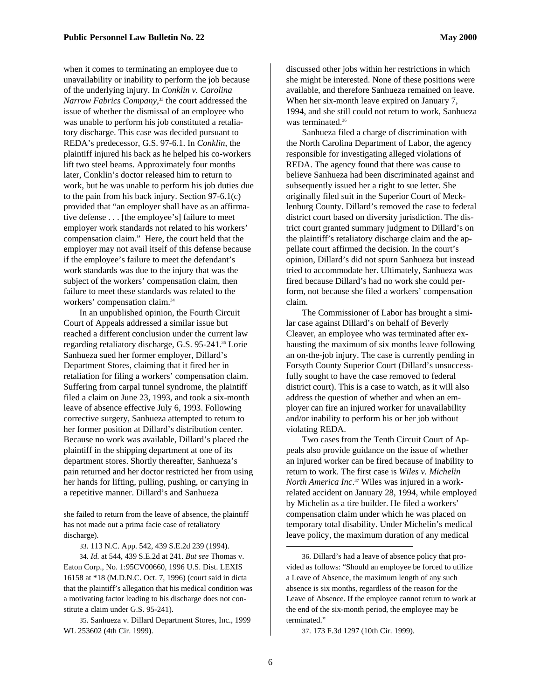when it comes to terminating an employee due to unavailability or inability to perform the job because of the underlying injury. In *Conklin v. Carolina Narrow Fabrics Company*, 33 the court addressed the issue of whether the dismissal of an employee who

was unable to perform his job constituted a retaliatory discharge. This case was decided pursuant to REDA's predecessor, G.S. 97-6.1. In *Conklin*, the plaintiff injured his back as he helped his co-workers lift two steel beams. Approximately four months later, Conklin's doctor released him to return to work, but he was unable to perform his job duties due to the pain from his back injury. Section 97-6.1(c) provided that "an employer shall have as an affirmative defense . . . [the employee's] failure to meet employer work standards not related to his workers' compensation claim." Here, the court held that the employer may not avail itself of this defense because if the employee's failure to meet the defendant's work standards was due to the injury that was the subject of the workers' compensation claim, then failure to meet these standards was related to the workers' compensation claim.34

In an unpublished opinion, the Fourth Circuit Court of Appeals addressed a similar issue but reached a different conclusion under the current law regarding retaliatory discharge, G.S. 95-241.35 Lorie Sanhueza sued her former employer, Dillard's Department Stores, claiming that it fired her in retaliation for filing a workers' compensation claim. Suffering from carpal tunnel syndrome, the plaintiff filed a claim on June 23, 1993, and took a six-month leave of absence effective July 6, 1993. Following corrective surgery, Sanhueza attempted to return to her former position at Dillard's distribution center. Because no work was available, Dillard's placed the plaintiff in the shipping department at one of its department stores. Shortly thereafter, Sanhueza's pain returned and her doctor restricted her from using her hands for lifting, pulling, pushing, or carrying in a repetitive manner. Dillard's and Sanhueza

she failed to return from the leave of absence, the plaintiff has not made out a prima facie case of retaliatory discharge).

1

33. 113 N.C. App. 542, 439 S.E.2d 239 (1994).

34. *Id*. at 544, 439 S.E.2d at 241. *But see* Thomas v. Eaton Corp., No. 1:95CV00660, 1996 U.S. Dist. LEXIS 16158 at \*18 (M.D.N.C. Oct. 7, 1996) (court said in dicta that the plaintiff's allegation that his medical condition was a motivating factor leading to his discharge does not constitute a claim under G.S. 95-241).

35. Sanhueza v. Dillard Department Stores, Inc., 1999 WL 253602 (4th Cir. 1999).

discussed other jobs within her restrictions in which she might be interested. None of these positions were available, and therefore Sanhueza remained on leave. When her six-month leave expired on January 7, 1994, and she still could not return to work, Sanhueza was terminated.<sup>36</sup>

Sanhueza filed a charge of discrimination with the North Carolina Department of Labor, the agency responsible for investigating alleged violations of REDA. The agency found that there was cause to believe Sanhueza had been discriminated against and subsequently issued her a right to sue letter. She originally filed suit in the Superior Court of Mecklenburg County. Dillard's removed the case to federal district court based on diversity jurisdiction. The district court granted summary judgment to Dillard's on the plaintiff's retaliatory discharge claim and the appellate court affirmed the decision. In the court's opinion, Dillard's did not spurn Sanhueza but instead tried to accommodate her. Ultimately, Sanhueza was fired because Dillard's had no work she could perform, not because she filed a workers' compensation claim.

The Commissioner of Labor has brought a similar case against Dillard's on behalf of Beverly Cleaver, an employee who was terminated after exhausting the maximum of six months leave following an on-the-job injury. The case is currently pending in Forsyth County Superior Court (Dillard's unsuccessfully sought to have the case removed to federal district court). This is a case to watch, as it will also address the question of whether and when an employer can fire an injured worker for unavailability and/or inability to perform his or her job without violating REDA.

Two cases from the Tenth Circuit Court of Appeals also provide guidance on the issue of whether an injured worker can be fired because of inability to return to work. The first case is *Wiles v. Michelin North America Inc*. 37 Wiles was injured in a workrelated accident on January 28, 1994, while employed by Michelin as a tire builder. He filed a workers' compensation claim under which he was placed on temporary total disability. Under Michelin's medical leave policy, the maximum duration of any medical

37. 173 F.3d 1297 (10th Cir. 1999).

<sup>36.</sup> Dillard's had a leave of absence policy that provided as follows: "Should an employee be forced to utilize a Leave of Absence, the maximum length of any such absence is six months, regardless of the reason for the Leave of Absence. If the employee cannot return to work at the end of the six-month period, the employee may be terminated."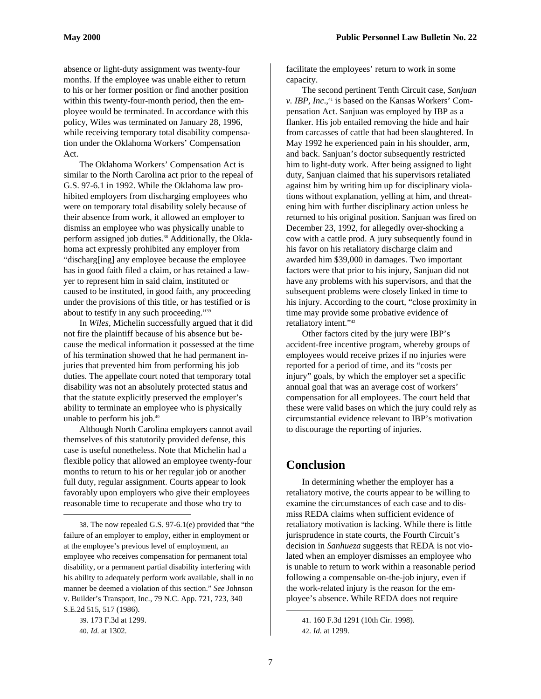absence or light-duty assignment was twenty-four months. If the employee was unable either to return to his or her former position or find another position within this twenty-four-month period, then the employee would be terminated. In accordance with this policy, Wiles was terminated on January 28, 1996, while receiving temporary total disability compensation under the Oklahoma Workers' Compensation Act.

The Oklahoma Workers' Compensation Act is similar to the North Carolina act prior to the repeal of G.S. 97-6.1 in 1992. While the Oklahoma law prohibited employers from discharging employees who were on temporary total disability solely because of their absence from work, it allowed an employer to dismiss an employee who was physically unable to perform assigned job duties.<sup>38</sup> Additionally, the Oklahoma act expressly prohibited any employer from "discharg[ing] any employee because the employee has in good faith filed a claim, or has retained a lawyer to represent him in said claim, instituted or caused to be instituted, in good faith, any proceeding under the provisions of this title, or has testified or is about to testify in any such proceeding."39

In *Wiles*, Michelin successfully argued that it did not fire the plaintiff because of his absence but because the medical information it possessed at the time of his termination showed that he had permanent injuries that prevented him from performing his job duties. The appellate court noted that temporary total disability was not an absolutely protected status and that the statute explicitly preserved the employer's ability to terminate an employee who is physically unable to perform his job.<sup>40</sup>

Although North Carolina employers cannot avail themselves of this statutorily provided defense, this case is useful nonetheless. Note that Michelin had a flexible policy that allowed an employee twenty-four months to return to his or her regular job or another full duty, regular assignment. Courts appear to look favorably upon employers who give their employees reasonable time to recuperate and those who try to

 $\overline{a}$ 

facilitate the employees' return to work in some capacity.

The second pertinent Tenth Circuit case, *Sanjuan v. IBP, Inc.*,<sup>41</sup> is based on the Kansas Workers' Compensation Act. Sanjuan was employed by IBP as a flanker. His job entailed removing the hide and hair from carcasses of cattle that had been slaughtered. In May 1992 he experienced pain in his shoulder, arm, and back. Sanjuan's doctor subsequently restricted him to light-duty work. After being assigned to light duty, Sanjuan claimed that his supervisors retaliated against him by writing him up for disciplinary violations without explanation, yelling at him, and threatening him with further disciplinary action unless he returned to his original position. Sanjuan was fired on December 23, 1992, for allegedly over-shocking a cow with a cattle prod. A jury subsequently found in his favor on his retaliatory discharge claim and awarded him \$39,000 in damages. Two important factors were that prior to his injury, Sanjuan did not have any problems with his supervisors, and that the subsequent problems were closely linked in time to his injury. According to the court, "close proximity in time may provide some probative evidence of retaliatory intent."42

Other factors cited by the jury were IBP's accident-free incentive program, whereby groups of employees would receive prizes if no injuries were reported for a period of time, and its "costs per injury" goals, by which the employer set a specific annual goal that was an average cost of workers' compensation for all employees. The court held that these were valid bases on which the jury could rely as circumstantial evidence relevant to IBP's motivation to discourage the reporting of injuries.

# **Conclusion**

In determining whether the employer has a retaliatory motive, the courts appear to be willing to examine the circumstances of each case and to dismiss REDA claims when sufficient evidence of retaliatory motivation is lacking. While there is little jurisprudence in state courts, the Fourth Circuit's decision in *Sanhueza* suggests that REDA is not violated when an employer dismisses an employee who is unable to return to work within a reasonable period following a compensable on-the-job injury, even if the work-related injury is the reason for the employee's absence. While REDA does not require

<sup>38.</sup> The now repealed G.S. 97-6.1(e) provided that "the failure of an employer to employ, either in employment or at the employee's previous level of employment, an employee who receives compensation for permanent total disability, or a permanent partial disability interfering with his ability to adequately perform work available, shall in no manner be deemed a violation of this section." *See* Johnson v. Builder's Transport, Inc., 79 N.C. App. 721, 723, 340 S.E.2d 515, 517 (1986).

<sup>39. 173</sup> F.3d at 1299.

<sup>40.</sup> *Id*. at 1302.

<sup>41. 160</sup> F.3d 1291 (10th Cir. 1998). 42. *Id*. at 1299.